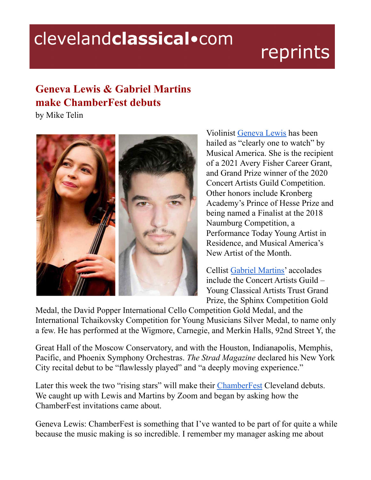## clevelandclassical.com

# reprints

### **Geneva Lewis & Gabriel Martins make ChamberFest debuts**

by Mike Telin



Violinist [Geneva](https://www.genevalewisviolinist.com/) Lewis has been hailed as "clearly one to watch" by Musical America. She is the recipient of a 2021 Avery Fisher Career Grant, and Grand Prize winner of the 2020 Concert Artists Guild Competition. Other honors include Kronberg Academy's Prince of Hesse Prize and being named a Finalist at the 2018 Naumburg Competition, a Performance Today Young Artist in Residence, and Musical America's New Artist of the Month.

Cellist Gabriel [Martins'](https://www.gabrielmartinscello.com/) accolades include the Concert Artists Guild – Young Classical Artists Trust Grand Prize, the Sphinx Competition Gold

Medal, the David Popper International Cello Competition Gold Medal, and the International Tchaikovsky Competition for Young Musicians Silver Medal, to name only a few. He has performed at the Wigmore, Carnegie, and Merkin Halls, 92nd Street Y, the

Great Hall of the Moscow Conservatory, and with the Houston, Indianapolis, Memphis, Pacific, and Phoenix Symphony Orchestras. *The Strad Magazine* declared his New York City recital debut to be "flawlessly played" and "a deeply moving experience."

Later this week the two "rising stars" will make their [ChamberFest](https://chamberfestcleveland.com/) Cleveland debuts. We caught up with Lewis and Martins by Zoom and began by asking how the ChamberFest invitations came about.

Geneva Lewis: ChamberFest is something that I've wanted to be part of for quite a while because the music making is so incredible. I remember my manager asking me about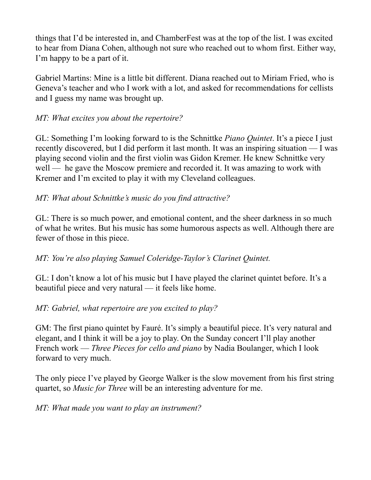things that I'd be interested in, and ChamberFest was at the top of the list. I was excited to hear from Diana Cohen, although not sure who reached out to whom first. Either way, I'm happy to be a part of it.

Gabriel Martins: Mine is a little bit different. Diana reached out to Miriam Fried, who is Geneva's teacher and who I work with a lot, and asked for recommendations for cellists and I guess my name was brought up.

#### *MT: What excites you about the repertoire?*

GL: Something I'm looking forward to is the Schnittke *Piano Quintet*. It's a piece I just recently discovered, but I did perform it last month. It was an inspiring situation — I was playing second violin and the first violin was Gidon Kremer. He knew Schnittke very well — he gave the Moscow premiere and recorded it. It was amazing to work with Kremer and I'm excited to play it with my Cleveland colleagues.

#### *MT: What about Schnittke's music do you find attractive?*

GL: There is so much power, and emotional content, and the sheer darkness in so much of what he writes. But his music has some humorous aspects as well. Although there are fewer of those in this piece.

#### *MT: You're also playing Samuel Coleridge-Taylor's Clarinet Quintet.*

GL: I don't know a lot of his music but I have played the clarinet quintet before. It's a beautiful piece and very natural — it feels like home.

#### *MT: Gabriel, what repertoire are you excited to play?*

GM: The first piano quintet by Fauré. It's simply a beautiful piece. It's very natural and elegant, and I think it will be a joy to play. On the Sunday concert I'll play another French work — *Three Pieces for cello and piano* by Nadia Boulanger, which I look forward to very much.

The only piece I've played by George Walker is the slow movement from his first string quartet, so *Music for Three* will be an interesting adventure for me.

#### *MT: What made you want to play an instrument?*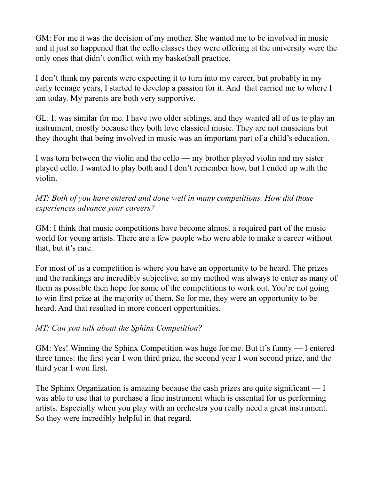GM: For me it was the decision of my mother. She wanted me to be involved in music and it just so happened that the cello classes they were offering at the university were the only ones that didn't conflict with my basketball practice.

I don't think my parents were expecting it to turn into my career, but probably in my early teenage years, I started to develop a passion for it. And that carried me to where I am today. My parents are both very supportive.

GL: It was similar for me. I have two older siblings, and they wanted all of us to play an instrument, mostly because they both love classical music. They are not musicians but they thought that being involved in music was an important part of a child's education.

I was torn between the violin and the cello — my brother played violin and my sister played cello. I wanted to play both and I don't remember how, but I ended up with the violin.

*MT: Both of you have entered and done well in many competitions. How did those experiences advance your careers?*

GM: I think that music competitions have become almost a required part of the music world for young artists. There are a few people who were able to make a career without that, but it's rare.

For most of us a competition is where you have an opportunity to be heard. The prizes and the rankings are incredibly subjective, so my method was always to enter as many of them as possible then hope for some of the competitions to work out. You're not going to win first prize at the majority of them. So for me, they were an opportunity to be heard. And that resulted in more concert opportunities.

#### *MT: Can you talk about the Sphinx Competition?*

GM: Yes! Winning the Sphinx Competition was huge for me. But it's funny — I entered three times: the first year I won third prize, the second year I won second prize, and the third year I won first.

The Sphinx Organization is amazing because the cash prizes are quite significant — I was able to use that to purchase a fine instrument which is essential for us performing artists. Especially when you play with an orchestra you really need a great instrument. So they were incredibly helpful in that regard.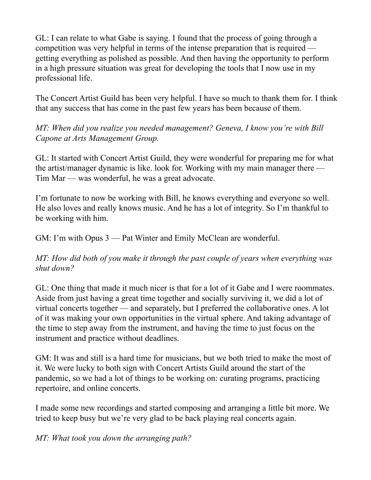GL: I can relate to what Gabe is saying. I found that the process of going through a competition was very helpful in terms of the intense preparation that is required getting everything as polished as possible. And then having the opportunity to perform in a high pressure situation was great for developing the tools that I now use in my professional life.

The Concert Artist Guild has been very helpful. I have so much to thank them for. I think that any success that has come in the past few years has been because of them.

*MT: When did you realize you needed management? Geneva, I know you're with Bill Capone at Arts Management Group.*

GL: It started with Concert Artist Guild, they were wonderful for preparing me for what the artist/manager dynamic is like. look for. Working with my main manager there — Tim Mar — was wonderful, he was a great advocate.

I'm fortunate to now be working with Bill, he knows everything and everyone so well. He also loves and really knows music. And he has a lot of integrity. So I'm thankful to be working with him.

GM: I'm with Opus 3 — Pat Winter and Emily McClean are wonderful.

*MT: How did both of you make it through the past couple of years when everything was shut down?*

GL: One thing that made it much nicer is that for a lot of it Gabe and I were roommates. Aside from just having a great time together and socially surviving it, we did a lot of virtual concerts together — and separately, but I preferred the collaborative ones. A lot of it was making your own opportunities in the virtual sphere. And taking advantage of the time to step away from the instrument, and having the time to just focus on the instrument and practice without deadlines.

GM: It was and still is a hard time for musicians, but we both tried to make the most of it. We were lucky to both sign with Concert Artists Guild around the start of the pandemic, so we had a lot of things to be working on: curating programs, practicing repertoire, and online concerts.

I made some new recordings and started composing and arranging a little bit more. We tried to keep busy but we're very glad to be back playing real concerts again.

*MT: What took you down the arranging path?*